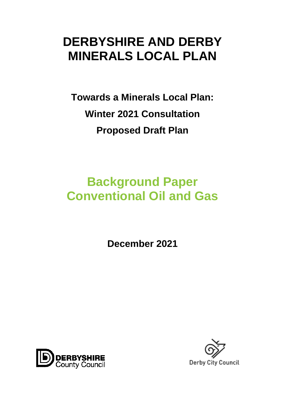# **DERBYSHIRE AND DERBY MINERALS LOCAL PLAN**

**Towards a Minerals Local Plan: Winter 2021 Consultation Proposed Draft Plan**

# **Background Paper Conventional Oil and Gas**

**December 2021**



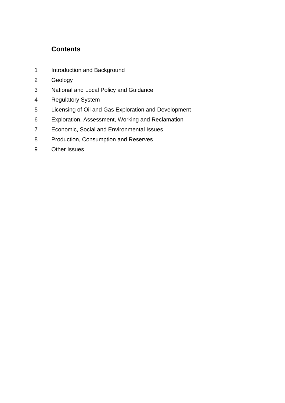## **Contents**

- 1 Introduction and Background
- Geology
- National and Local Policy and Guidance
- Regulatory System
- Licensing of Oil and Gas Exploration and Development
- Exploration, Assessment, Working and Reclamation
- Economic, Social and Environmental Issues
- Production, Consumption and Reserves
- Other Issues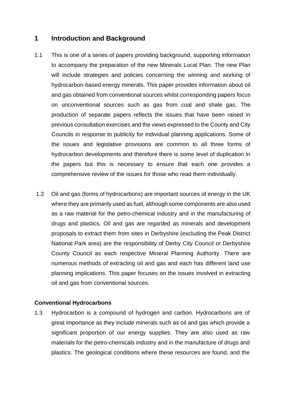## **1 Introduction and Background**

- 1.1 This is one of a series of papers providing background, supporting information to accompany the preparation of the new Minerals Local Plan. The new Plan will include strategies and policies concerning the winning and working of hydrocarbon-based energy minerals. This paper provides information about oil and gas obtained from conventional sources whilst corresponding papers focus on unconventional sources such as gas from coal and shale gas. The production of separate papers reflects the issues that have been raised in previous consultation exercises and the views expressed to the County and City Councils in response to publicity for individual planning applications. Some of the issues and legislative provisions are common to all three forms of hydrocarbon developments and therefore there is some level of duplication in the papers but this is necessary to ensure that each one provides a comprehensive review of the issues for those who read them individually.
- 1.2 Oil and gas (forms of hydrocarbons) are important sources of energy in the UK where they are primarily used as fuel, although some components are also used as a raw material for the petro-chemical industry and in the manufacturing of drugs and plastics. Oil and gas are regarded as minerals and development proposals to extract them from sites in Derbyshire (excluding the Peak District National Park area) are the responsibility of Derby City Council or Derbyshire County Council as each respective Mineral Planning Authority. There are numerous methods of extracting oil and gas and each has different land use planning implications. This paper focuses on the issues involved in extracting oil and gas from conventional sources.

### **Conventional Hydrocarbons**

1.3 Hydrocarbon is a compound of hydrogen and carbon. Hydrocarbons are of great importance as they include minerals such as oil and gas which provide a significant proportion of our energy supplies. They are also used as raw materials for the petro-chemicals industry and in the manufacture of drugs and plastics. The geological conditions where these resources are found, and the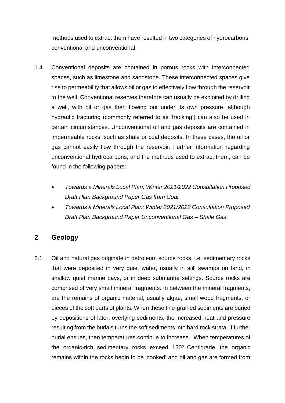methods used to extract them have resulted in two categories of hydrocarbons, conventional and unconventional.

- 1.4 Conventional deposits are contained in porous rocks with interconnected spaces, such as limestone and sandstone. These interconnected spaces give rise to permeability that allows oil or gas to effectively flow through the reservoir to the well. Conventional reserves therefore can usually be exploited by drilling a well, with oil or gas then flowing out under its own pressure, although hydraulic fracturing (commonly referred to as 'fracking') can also be used in certain circumstances. Unconventional oil and gas deposits are contained in impermeable rocks, such as shale or coal deposits. In these cases, the oil or gas cannot easily flow through the reservoir. Further information regarding unconventional hydrocarbons, and the methods used to extract them, can be found in the following papers:
	- *Towards a Minerals Local Plan: Winter 2021/2022 Consultation Proposed Draft Plan Background Paper Gas from Coal*
	- *Towards a Minerals Local Plan: Winter 2021/2022 Consultation Proposed Draft Plan Background Paper Unconventional Gas – Shale Gas*

## **2 Geology**

2.1 Oil and natural gas originate in petroleum source rocks, i.e. sedimentary rocks that were deposited in very quiet water, usually in still swamps on land, in shallow quiet marine bays, or in deep submarine settings. Source rocks are comprised of very small mineral fragments. In between the mineral fragments, are the remains of organic material, usually algae, small wood fragments, or pieces of the soft parts of plants. When these fine-grained sediments are buried by depositions of later, overlying sediments, the increased heat and pressure resulting from the burials turns the soft sediments into hard rock strata. If further burial ensues, then temperatures continue to increase. When temperatures of the organic-rich sedimentary rocks exceed  $120^\circ$  Centigrade, the organic remains within the rocks begin to be 'cooked' and oil and gas are formed from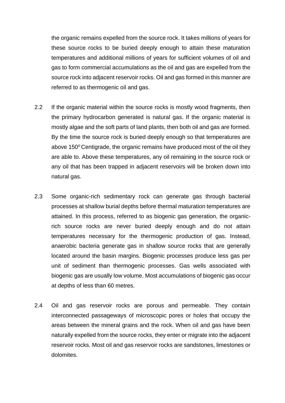the organic remains expelled from the source rock. It takes millions of years for these source rocks to be buried deeply enough to attain these maturation temperatures and additional millions of years for sufficient volumes of oil and gas to form commercial accumulations as the oil and gas are expelled from the source rock into adjacent reservoir rocks. Oil and gas formed in this manner are referred to as thermogenic oil and gas.

- 2.2 If the organic material within the source rocks is mostly wood fragments, then the primary hydrocarbon generated is natural gas. If the organic material is mostly algae and the soft parts of land plants, then both oil and gas are formed. By the time the source rock is buried deeply enough so that temperatures are above  $150^{\circ}$  Centigrade, the organic remains have produced most of the oil they are able to. Above these temperatures, any oil remaining in the source rock or any oil that has been trapped in adjacent reservoirs will be broken down into natural gas.
- 2.3 Some organic-rich sedimentary rock can generate gas through bacterial processes at shallow burial depths before thermal maturation temperatures are attained. In this process, referred to as biogenic gas generation, the organicrich source rocks are never buried deeply enough and do not attain temperatures necessary for the thermogenic production of gas. Instead, anaerobic bacteria generate gas in shallow source rocks that are generally located around the basin margins. Biogenic processes produce less gas per unit of sediment than thermogenic processes. Gas wells associated with biogenic gas are usually low volume. Most accumulations of biogenic gas occur at depths of less than 60 metres.
- 2.4 Oil and gas reservoir rocks are porous and permeable. They contain interconnected passageways of microscopic pores or holes that occupy the areas between the mineral grains and the rock. When oil and gas have been naturally expelled from the source rocks, they enter or migrate into the adjacent reservoir rocks. Most oil and gas reservoir rocks are sandstones, limestones or dolomites.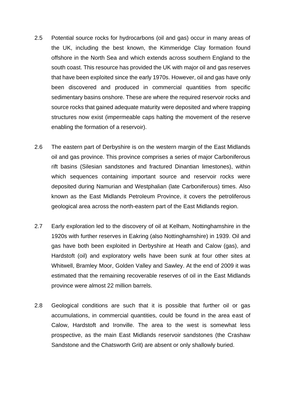- 2.5 Potential source rocks for hydrocarbons (oil and gas) occur in many areas of the UK, including the best known, the Kimmeridge Clay formation found offshore in the North Sea and which extends across southern England to the south coast. This resource has provided the UK with major oil and gas reserves that have been exploited since the early 1970s. However, oil and gas have only been discovered and produced in commercial quantities from specific sedimentary basins onshore. These are where the required reservoir rocks and source rocks that gained adequate maturity were deposited and where trapping structures now exist (impermeable caps halting the movement of the reserve enabling the formation of a reservoir).
- 2.6 The eastern part of Derbyshire is on the western margin of the East Midlands oil and gas province. This province comprises a series of major Carboniferous rift basins (Silesian sandstones and fractured Dinantian limestones), within which sequences containing important source and reservoir rocks were deposited during Namurian and Westphalian (late Carboniferous) times. Also known as the East Midlands Petroleum Province, it covers the petroliferous geological area across the north-eastern part of the East Midlands region.
- 2.7 Early exploration led to the discovery of oil at Kelham, Nottinghamshire in the 1920s with further reserves in Eakring (also Nottinghamshire) in 1939. Oil and gas have both been exploited in Derbyshire at Heath and Calow (gas), and Hardstoft (oil) and exploratory wells have been sunk at four other sites at Whitwell, Bramley Moor, Golden Valley and Sawley. At the end of 2009 it was estimated that the remaining recoverable reserves of oil in the East Midlands province were almost 22 million barrels.
- 2.8 Geological conditions are such that it is possible that further oil or gas accumulations, in commercial quantities, could be found in the area east of Calow, Hardstoft and Ironville. The area to the west is somewhat less prospective, as the main East Midlands reservoir sandstones (the Crashaw Sandstone and the Chatsworth Grit) are absent or only shallowly buried.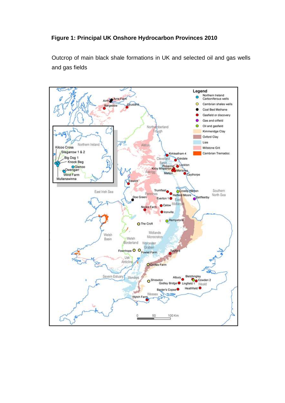## **Figure 1: Principal UK Onshore Hydrocarbon Provinces 2010**

Outcrop of main black shale formations in UK and selected oil and gas wells and gas fields

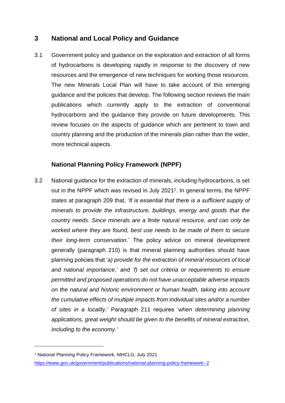## **3 National and Local Policy and Guidance**

3.1 Government policy and guidance on the exploration and extraction of all forms of hydrocarbons is developing rapidly in response to the discovery of new resources and the emergence of new techniques for working those resources. The new Minerals Local Plan will have to take account of this emerging guidance and the policies that develop. The following section reviews the main publications which currently apply to the extraction of conventional hydrocarbons and the guidance they provide on future developments. This review focuses on the aspects of guidance which are pertinent to town and country planning and the production of the minerals plan rather than the wider, more technical aspects.

## **National Planning Policy Framework (NPPF)**

3.2 National guidance for the extraction of minerals, including hydrocarbons, is set out in the NPPF which was revised in July 2021<sup>1</sup>. In general terms, the NPPF states at paragraph 209 that, *'It is essential that there is a sufficient supply of minerals to provide the infrastructure, buildings, energy and goods that the country needs. Since minerals are a finite natural resource, and can only be worked where they are found, best use needs to be made of them to secure their long-term conservation*.' The policy advice on mineral development generally (paragraph 210) is that mineral planning authorities should have planning policies that '*a) provide for the extraction of mineral resources of local and national importance*,' and '*f) set out criteria or requirements to ensure permitted and proposed operations do not have unacceptable adverse impacts on the natural and historic environment or human health, taking into account the cumulative effects of multiple impacts from individual sites and/or a number of sites in a locality.'* Paragraph 211 requires '*when determining planning applications, great weight should be given to the benefits of mineral extraction, including to the economy.'*

<sup>1</sup> National Planning Policy Framework, MHCLG, July 2021

<https://www.gov.uk/government/publications/national-planning-policy-framework--2>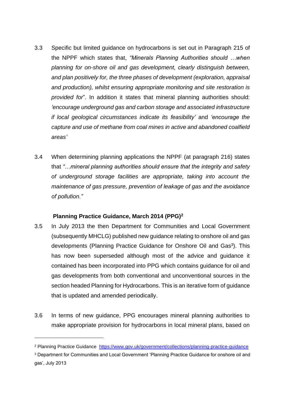- 3.3 Specific but limited guidance on hydrocarbons is set out in Paragraph 215 of the NPPF which states that, *"Minerals Planning Authorities should …when planning for on-shore oil and gas development, clearly distinguish between, and plan positively for, the three phases of development (exploration, appraisal and production), whilst ensuring appropriate monitoring and site restoration is provided for*". In addition it states that mineral planning authorities should: *'encourage underground gas and carbon storage and associated infrastructure if local geological circumstances indicate its feasibility'* and *'encourage the capture and use of methane from coal mines in active and abandoned coalfield areas'*
- 3.4 When determining planning applications the NPPF (at paragraph 216) states that *"…mineral planning authorities should ensure that the integrity and safety of underground storage facilities are appropriate, taking into account the maintenance of gas pressure, prevention of leakage of gas and the avoidance of pollution."*

## **Planning Practice Guidance, March 2014 (PPG)<sup>2</sup>**

- 3.5 In July 2013 the then Department for Communities and Local Government (subsequently MHCLG) published new guidance relating to onshore oil and gas developments (Planning Practice Guidance for Onshore Oil and Gas<sup>3</sup>). This has now been superseded although most of the advice and guidance it contained has been incorporated into PPG which contains guidance for oil and gas developments from both conventional and unconventional sources in the section headed Planning for Hydrocarbons. This is an iterative form of guidance that is updated and amended periodically.
- 3.6 In terms of new guidance, PPG encourages mineral planning authorities to make appropriate provision for hydrocarbons in local mineral plans, based on

<sup>&</sup>lt;sup>2</sup> Planning Practice Guidance <https://www.gov.uk/government/collections/planning-practice-guidance>

<sup>3</sup> Department for Communities and Local Government 'Planning Practice Guidance for onshore oil and gas', July 2013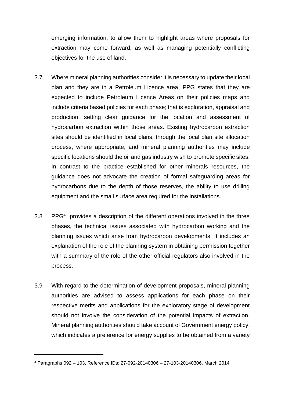emerging information, to allow them to highlight areas where proposals for extraction may come forward, as well as managing potentially conflicting objectives for the use of land.

- 3.7 Where mineral planning authorities consider it is necessary to update their local plan and they are in a Petroleum Licence area, PPG states that they are expected to include Petroleum Licence Areas on their policies maps and include criteria based policies for each phase; that is exploration, appraisal and production, setting clear guidance for the location and assessment of hydrocarbon extraction within those areas. Existing hydrocarbon extraction sites should be identified in local plans, through the local plan site allocation process, where appropriate, and mineral planning authorities may include specific locations should the oil and gas industry wish to promote specific sites. In contrast to the practice established for other minerals resources, the guidance does not advocate the creation of formal safeguarding areas for hydrocarbons due to the depth of those reserves, the ability to use drilling equipment and the small surface area required for the installations.
- 3.8 PPG<sup>4</sup> provides a description of the different operations involved in the three phases, the technical issues associated with hydrocarbon working and the planning issues which arise from hydrocarbon developments. It includes an explanation of the role of the planning system in obtaining permission together with a summary of the role of the other official regulators also involved in the process.
- 3.9 With regard to the determination of development proposals, mineral planning authorities are advised to assess applications for each phase on their respective merits and applications for the exploratory stage of development should not involve the consideration of the potential impacts of extraction. Mineral planning authorities should take account of Government energy policy, which indicates a preference for energy supplies to be obtained from a variety

<sup>4</sup> Paragraphs 092 – 103, Reference IDs: 27-092-20140306 – 27-103-20140306, March 2014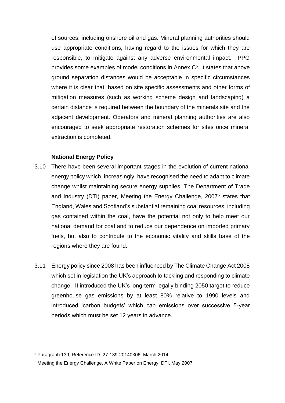of sources, including onshore oil and gas. Mineral planning authorities should use appropriate conditions, having regard to the issues for which they are responsible, to mitigate against any adverse environmental impact. PPG provides some examples of model conditions in Annex  $C<sup>5</sup>$ . It states that above ground separation distances would be acceptable in specific circumstances where it is clear that, based on site specific assessments and other forms of mitigation measures (such as working scheme design and landscaping) a certain distance is required between the boundary of the minerals site and the adjacent development. Operators and mineral planning authorities are also encouraged to seek appropriate restoration schemes for sites once mineral extraction is completed.

### **National Energy Policy**

- 3.10There have been several important stages in the evolution of current national energy policy which, increasingly, have recognised the need to adapt to climate change whilst maintaining secure energy supplies. The Department of Trade and Industry (DTI) paper, Meeting the Energy Challenge, 2007<sup>6</sup> states that England, Wales and Scotland's substantial remaining coal resources, including gas contained within the coal, have the potential not only to help meet our national demand for coal and to reduce our dependence on imported primary fuels, but also to contribute to the economic vitality and skills base of the regions where they are found.
- 3.11 Energy policy since 2008 has been influenced by The Climate Change Act 2008 which set in legislation the UK's approach to tackling and responding to climate change. It introduced the UK's long-term legally binding 2050 target to reduce greenhouse gas emissions by at least 80% relative to 1990 levels and introduced 'carbon budgets' which cap emissions over successive 5-year periods which must be set 12 years in advance.

<sup>5</sup> Paragraph 139, Reference ID: 27-139-20140306, March 2014

<sup>6</sup> Meeting the Energy Challenge, A White Paper on Energy, DTI, May 2007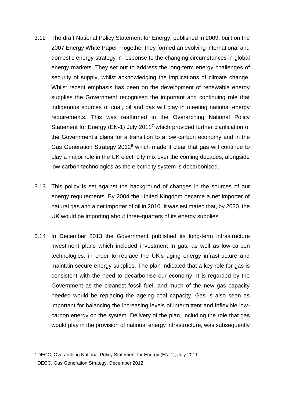- 3.12 The draft National Policy Statement for Energy, published in 2009, built on the 2007 Energy White Paper. Together they formed an evolving international and domestic energy strategy in response to the changing circumstances in global energy markets. They set out to address the long-term energy challenges of security of supply, whilst acknowledging the implications of climate change. Whilst recent emphasis has been on the development of renewable energy supplies the Government recognised the important and continuing role that indigenous sources of coal, oil and gas will play in meeting national energy requirements. This was reaffirmed in the Overarching National Policy Statement for Energy (EN-1) July 2011<sup>7</sup> which provided further clarification of the Government's plans for a transition to a low carbon economy and in the Gas Generation Strategy 2012<sup>8</sup> which made it clear that gas will continue to play a major role in the UK electricity mix over the coming decades, alongside low-carbon technologies as the electricity system is decarbonised.
- 3.13 This policy is set against the background of changes in the sources of our energy requirements. By 2004 the United Kingdom became a net importer of natural gas and a net importer of oil in 2010. It was estimated that, by 2020, the UK would be importing about three-quarters of its energy supplies.
- 3.14 In December 2013 the Government published its long-term infrastructure investment plans which included investment in gas, as well as low-carbon technologies, in order to replace the UK's aging energy infrastructure and maintain secure energy supplies. The plan indicated that a key role for gas is consistent with the need to decarbonise our economy. It is regarded by the Government as the cleanest fossil fuel, and much of the new gas capacity needed would be replacing the ageing coal capacity. Gas is also seen as important for balancing the increasing levels of intermittent and inflexible lowcarbon energy on the system. Delivery of the plan, including the role that gas would play in the provision of national energy infrastructure, was subsequently

<sup>7</sup> DECC, Overarching National Policy Statement for Energy (EN-1), July 2011

<sup>8</sup> DECC, Gas Generation Strategy, December 2012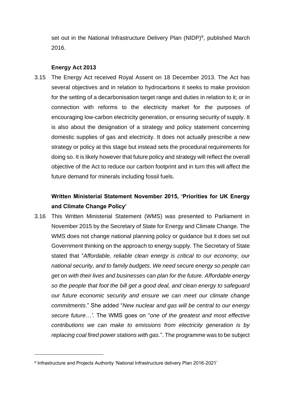set out in the National Infrastructure Delivery Plan (NIDP)<sup>9</sup>, published March 2016.

#### **Energy Act 2013**

3.15 The Energy Act received Royal Assent on 18 December 2013. The Act has several objectives and in relation to hydrocarbons it seeks to make provision for the setting of a decarbonisation target range and duties in relation to it; or in connection with reforms to the electricity market for the purposes of encouraging low-carbon electricity generation, or ensuring security of supply. It is also about the designation of a strategy and policy statement concerning domestic supplies of gas and electricity. It does not actually prescribe a new strategy or policy at this stage but instead sets the procedural requirements for doing so. It is likely however that future policy and strategy will reflect the overall objective of the Act to reduce our carbon footprint and in turn this will affect the future demand for minerals including fossil fuels.

## **Written Ministerial Statement November 2015, 'Priorities for UK Energy and Climate Change Policy'**

3.16 This Written Ministerial Statement (WMS) was presented to Parliament in November 2015 by the Secretary of State for Energy and Climate Change. The WMS does not change national planning policy or guidance but it does set out Government thinking on the approach to energy supply. The Secretary of State stated that "*Affordable, reliable clean energy is critical to our economy, our national security, and to family budgets. We need secure energy so people can get on with their lives and businesses can plan for the future. Affordable energy so the people that foot the bill get a good deal, and clean energy to safeguard our future economic security and ensure we can meet our climate change commitments*." She added "*New nuclear and gas will be central to our energy secure future…'.* The WMS goes on "*one of the greatest and most effective contributions we can make to emissions from electricity generation is by replacing coal fired power stations with gas*.". The programme was to be subject

<sup>9</sup> Infrastructure and Projects Authority 'National Infrastructure delivery Plan 2016-2021'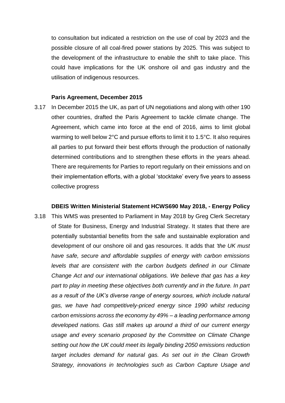to consultation but indicated a restriction on the use of coal by 2023 and the possible closure of all coal-fired power stations by 2025. This was subject to the development of the infrastructure to enable the shift to take place. This could have implications for the UK onshore oil and gas industry and the utilisation of indigenous resources.

#### **Paris Agreement, December 2015**

3.17 In December 2015 the UK, as part of UN negotiations and along with other 190 other countries, drafted the Paris Agreement to tackle climate change. The Agreement, which came into force at the end of 2016, aims to limit global warming to well below 2°C and pursue efforts to limit it to 1.5°C. It also requires all parties to put forward their best efforts through the production of nationally determined contributions and to strengthen these efforts in the years ahead. There are requirements for Parties to report regularly on their emissions and on their implementation efforts, with a global 'stocktake' every five years to assess collective progress

## **DBEIS Written Ministerial Statement HCWS690 May 2018, - Energy Policy** 3.18 This WMS was presented to Parliament in May 2018 by Greg Clerk Secretary of State for Business, Energy and Industrial Strategy. It states that there are potentially substantial benefits from the safe and sustainable exploration and development of our onshore oil and gas resources. It adds that *'the UK must have safe, secure and affordable supplies of energy with carbon emissions levels that are consistent with the carbon budgets defined in our Climate Change Act and our international obligations. We believe that gas has a key part to play in meeting these objectives both currently and in the future. In part as a result of the UK's diverse range of energy sources, which include natural gas, we have had competitively-priced energy since 1990 whilst reducing carbon emissions across the economy by 49% – a leading performance among developed nations. Gas still makes up around a third of our current energy usage and every scenario proposed by the Committee on Climate Change setting out how the UK could meet its legally binding 2050 emissions reduction target includes demand for natural gas. As set out in the Clean Growth Strategy, innovations in technologies such as Carbon Capture Usage and*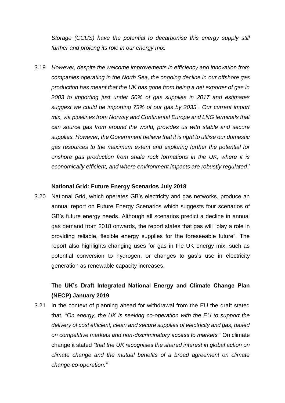*Storage (CCUS) have the potential to decarbonise this energy supply still further and prolong its role in our energy mix.*

3.19 *However, despite the welcome improvements in efficiency and innovation from companies operating in the North Sea, the ongoing decline in our offshore gas production has meant that the UK has gone from being a net exporter of gas in 2003 to importing just under 50% of gas supplies in 2017 and estimates suggest we could be importing 73% of our gas by 2035 . Our current import mix, via pipelines from Norway and Continental Europe and LNG terminals that can source gas from around the world, provides us with stable and secure supplies. However, the Government believe that it is right to utilise our domestic gas resources to the maximum extent and exploring further the potential for onshore gas production from shale rock formations in the UK, where it is economically efficient, and where environment impacts are robustly regulated*.'

#### **National Grid: Future Energy Scenarios July 2018**

3.20 National Grid, which operates GB's electricity and gas networks, produce an annual report on Future Energy Scenarios which suggests four scenarios of GB's future energy needs. Although all scenarios predict a decline in annual gas demand from 2018 onwards, the report states that gas will "play a role in providing reliable, flexible energy supplies for the foreseeable future". The report also highlights changing uses for gas in the UK energy mix, such as potential conversion to hydrogen, or changes to gas's use in electricity generation as renewable capacity increases.

## **The UK's Draft Integrated National Energy and Climate Change Plan (NECP) January 2019**

3.21 In the context of planning ahead for withdrawal from the EU the draft stated that, *"On energy, the UK is seeking co-operation with the EU to support the delivery of cost efficient, clean and secure supplies of electricity and gas, based on competitive markets and non-discriminatory access to markets."* On climate change it stated *"that the UK recognises the shared interest in global action on climate change and the mutual benefits of a broad agreement on climate change co-operation."*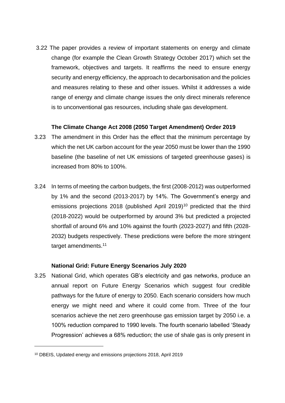3.22 The paper provides a review of important statements on energy and climate change (for example the Clean Growth Strategy October 2017) which set the framework, objectives and targets. It reaffirms the need to ensure energy security and energy efficiency, the approach to decarbonisation and the policies and measures relating to these and other issues. Whilst it addresses a wide range of energy and climate change issues the only direct minerals reference is to unconventional gas resources, including shale gas development.

## **The Climate Change Act 2008 (2050 Target Amendment) Order 2019**

- 3.23 The amendment in this Order has the effect that the minimum percentage by which the net UK carbon account for the year 2050 must be lower than the 1990 baseline (the baseline of net UK emissions of targeted greenhouse gases) is increased from 80% to 100%.
- 3.24 In terms of meeting the carbon budgets, the first (2008-2012) was outperformed by 1% and the second (2013-2017) by 14%. The Government's energy and emissions projections 2018 (published April 2019)<sup>10</sup> predicted that the third (2018-2022) would be outperformed by around 3% but predicted a projected shortfall of around 6% and 10% against the fourth (2023-2027) and fifth (2028- 2032) budgets respectively. These predictions were before the more stringent target amendments.<sup>11</sup>

### **National Grid: Future Energy Scenarios July 2020**

3.25 National Grid, which operates GB's electricity and gas networks, produce an annual report on Future Energy Scenarios which suggest four credible pathways for the future of energy to 2050. Each scenario considers how much energy we might need and where it could come from. Three of the four scenarios achieve the net zero greenhouse gas emission target by 2050 i.e. a 100% reduction compared to 1990 levels. The fourth scenario labelled 'Steady Progression' achieves a 68% reduction; the use of shale gas is only present in

<sup>10</sup> DBEIS, Updated energy and emissions projections 2018, April 2019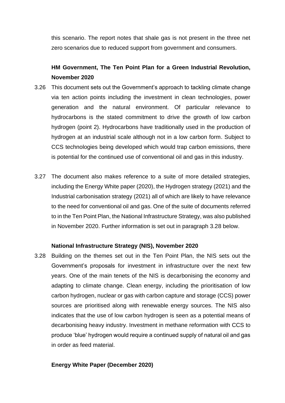this scenario. The report notes that shale gas is not present in the three net zero scenarios due to reduced support from government and consumers.

## **HM Government, The Ten Point Plan for a Green Industrial Revolution, November 2020**

- 3.26 This document sets out the Government's approach to tackling climate change via ten action points including the investment in clean technologies, power generation and the natural environment. Of particular relevance to hydrocarbons is the stated commitment to drive the growth of low carbon hydrogen (point 2). Hydrocarbons have traditionally used in the production of hydrogen at an industrial scale although not in a low carbon form. Subject to CCS technologies being developed which would trap carbon emissions, there is potential for the continued use of conventional oil and gas in this industry.
- 3.27 The document also makes reference to a suite of more detailed strategies, including the Energy White paper (2020), the Hydrogen strategy (2021) and the Industrial carbonisation strategy (2021) all of which are likely to have relevance to the need for conventional oil and gas. One of the suite of documents referred to in the Ten Point Plan, the National Infrastructure Strategy, was also published in November 2020. Further information is set out in paragraph 3.28 below.

### **National Infrastructure Strategy (NIS), November 2020**

3.28 Building on the themes set out in the Ten Point Plan, the NIS sets out the Government's proposals for investment in infrastructure over the next few years. One of the main tenets of the NIS is decarbonising the economy and adapting to climate change. Clean energy, including the prioritisation of low carbon hydrogen, nuclear or gas with carbon capture and storage (CCS) power sources are prioritised along with renewable energy sources. The NIS also indicates that the use of low carbon hydrogen is seen as a potential means of decarbonising heavy industry. Investment in methane reformation with CCS to produce 'blue' hydrogen would require a continued supply of natural oil and gas in order as feed material.

## **Energy White Paper (December 2020)**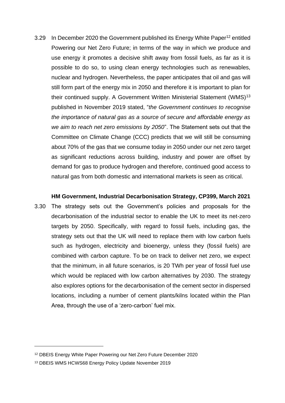3.29 In December 2020 the Government published its Energy White Paper<sup>12</sup> entitled Powering our Net Zero Future; in terms of the way in which we produce and use energy it promotes a decisive shift away from fossil fuels, as far as it is possible to do so, to using clean energy technologies such as renewables, nuclear and hydrogen. Nevertheless, the paper anticipates that oil and gas will still form part of the energy mix in 2050 and therefore it is important to plan for their continued supply. A Government Written Ministerial Statement (WMS)<sup>13</sup> published in November 2019 stated, "*the Government continues to recognise the importance of natural gas as a source of secure and affordable energy as we aim to reach net zero emissions by 2050*". The Statement sets out that the Committee on Climate Change (CCC) predicts that we will still be consuming about 70% of the gas that we consume today in 2050 under our net zero target as significant reductions across building, industry and power are offset by demand for gas to produce hydrogen and therefore, continued good access to natural gas from both domestic and international markets is seen as critical.

#### **HM Government, Industrial Decarbonisation Strategy, CP399, March 2021**

3.30 The strategy sets out the Government's policies and proposals for the decarbonisation of the industrial sector to enable the UK to meet its net-zero targets by 2050. Specifically, with regard to fossil fuels, including gas, the strategy sets out that the UK will need to replace them with low carbon fuels such as hydrogen, electricity and bioenergy, unless they (fossil fuels) are combined with carbon capture. To be on track to deliver net zero, we expect that the minimum, in all future scenarios, is 20 TWh per year of fossil fuel use which would be replaced with low carbon alternatives by 2030. The strategy also explores options for the decarbonisation of the cement sector in dispersed locations, including a number of cement plants/kilns located within the Plan Area, through the use of a 'zero-carbon' fuel mix.

<sup>12</sup> DBEIS Energy White Paper Powering our Net Zero Future December 2020

<sup>13</sup> DBEIS WMS HCWS68 Energy Policy Update November 2019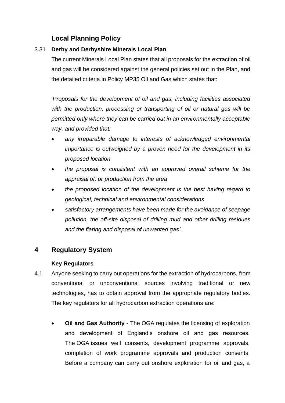## **Local Planning Policy**

## 3.31 **Derby and Derbyshire Minerals Local Plan**

The current Minerals Local Plan states that all proposals for the extraction of oil and gas will be considered against the general policies set out in the Plan, and the detailed criteria in Policy MP35 Oil and Gas which states that:

'*Proposals for the development of oil and gas, including facilities associated with the production, processing or transporting of oil or natural gas will be permitted only where they can be carried out in an environmentally acceptable way, and provided that:*

- *any irreparable damage to interests of acknowledged environmental importance is outweighed by a proven need for the development in its proposed location*
- *the proposal is consistent with an approved overall scheme for the appraisal of, or production from the area*
- *the proposed location of the development is the best having regard to geological, technical and environmental considerations*
- *satisfactory arrangements have been made for the avoidance of seepage pollution, the off-site disposal of drilling mud and other drilling residues and the flaring and disposal of unwanted gas'.*

## **4 Regulatory System**

## **Key Regulators**

- 4.1 Anyone seeking to carry out operations for the extraction of hydrocarbons, from conventional or unconventional sources involving traditional or new technologies, has to obtain approval from the appropriate regulatory bodies. The key regulators for all hydrocarbon extraction operations are:
	- **Oil and Gas Authority** The OGA regulates the licensing of exploration and development of England's onshore oil and gas resources. The OGA issues well consents, development programme approvals, completion of work programme approvals and production consents. Before a company can carry out onshore exploration for oil and gas, a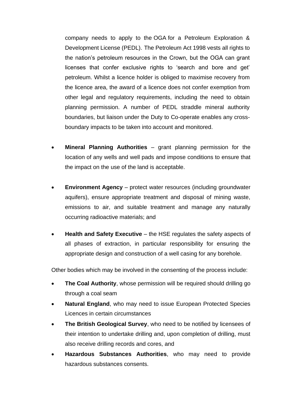company needs to apply to the OGA for a Petroleum Exploration & Development License (PEDL). The Petroleum Act 1998 vests all rights to the nation's petroleum resources in the Crown, but the OGA can grant licenses that confer exclusive rights to 'search and bore and get' petroleum. Whilst a licence holder is obliged to maximise recovery from the licence area, the award of a licence does not confer exemption from other legal and regulatory requirements, including the need to obtain planning permission. A number of PEDL straddle mineral authority boundaries, but liaison under the Duty to Co-operate enables any crossboundary impacts to be taken into account and monitored.

- **Mineral Planning Authorities**  grant planning permission for the location of any wells and well pads and impose conditions to ensure that the impact on the use of the land is acceptable.
- **Environment Agency** protect water resources (including groundwater aquifers), ensure appropriate treatment and disposal of mining waste, emissions to air, and suitable treatment and manage any naturally occurring radioactive materials; and
- **Health and Safety Executive**  the HSE regulates the safety aspects of all phases of extraction, in particular responsibility for ensuring the appropriate design and construction of a well casing for any borehole.

Other bodies which may be involved in the consenting of the process include:

- **The Coal Authority**, whose permission will be required should drilling go through a coal seam
- **Natural England**, who may need to issue European Protected Species Licences in certain circumstances
- **The British Geological Survey**, who need to be notified by licensees of their intention to undertake drilling and, upon completion of drilling, must also receive drilling records and cores, and
- **Hazardous Substances Authorities**, who may need to provide hazardous substances consents.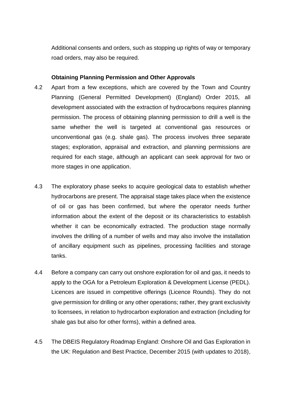Additional consents and orders, such as stopping up rights of way or temporary road orders, may also be required.

#### **Obtaining Planning Permission and Other Approvals**

- 4.2 Apart from a few exceptions, which are covered by the Town and Country Planning (General Permitted Development) (England) Order 2015, all development associated with the extraction of hydrocarbons requires planning permission. The process of obtaining planning permission to drill a well is the same whether the well is targeted at conventional gas resources or unconventional gas (e.g. shale gas). The process involves three separate stages; exploration, appraisal and extraction, and planning permissions are required for each stage, although an applicant can seek approval for two or more stages in one application.
- 4.3 The exploratory phase seeks to acquire geological data to establish whether hydrocarbons are present. The appraisal stage takes place when the existence of oil or gas has been confirmed, but where the operator needs further information about the extent of the deposit or its characteristics to establish whether it can be economically extracted. The production stage normally involves the drilling of a number of wells and may also involve the installation of ancillary equipment such as pipelines, processing facilities and storage tanks.
- 4.4 Before a company can carry out onshore exploration for oil and gas, it needs to apply to the OGA for a Petroleum Exploration & Development License (PEDL). Licences are issued in competitive offerings (Licence Rounds). They do not give permission for drilling or any other operations; rather, they grant exclusivity to licensees, in relation to hydrocarbon exploration and extraction (including for shale gas but also for other forms), within a defined area.
- 4.5 The DBEIS Regulatory Roadmap England: Onshore Oil and Gas Exploration in the UK: Regulation and Best Practice, December 2015 (with updates to 2018),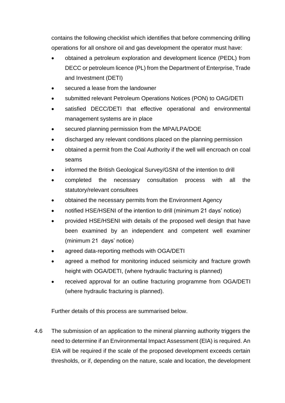contains the following checklist which identifies that before commencing drilling operations for all onshore oil and gas development the operator must have:

- obtained a petroleum exploration and development licence (PEDL) from DECC or petroleum licence (PL) from the Department of Enterprise, Trade and Investment (DETI)
- secured a lease from the landowner
- submitted relevant Petroleum Operations Notices (PON) to OAG/DETI
- satisfied DECC/DETI that effective operational and environmental management systems are in place
- secured planning permission from the MPA/LPA/DOE
- discharged any relevant conditions placed on the planning permission
- obtained a permit from the Coal Authority if the well will encroach on coal seams
- informed the British Geological Survey/GSNI of the intention to drill
- completed the necessary consultation process with all the statutory/relevant consultees
- obtained the necessary permits from the Environment Agency
- notified HSE/HSENI of the intention to drill (minimum 21 days' notice)
- provided HSE/HSENI with details of the proposed well design that have been examined by an independent and competent well examiner (minimum 21 days' notice)
- agreed data-reporting methods with OGA/DETI
- agreed a method for monitoring induced seismicity and fracture growth height with OGA/DETI, (where hydraulic fracturing is planned)
- received approval for an outline fracturing programme from OGA/DETI (where hydraulic fracturing is planned).

Further details of this process are summarised below.

4.6 The submission of an application to the mineral planning authority triggers the need to determine if an Environmental Impact Assessment (EIA) is required. An EIA will be required if the scale of the proposed development exceeds certain thresholds, or if, depending on the nature, scale and location, the development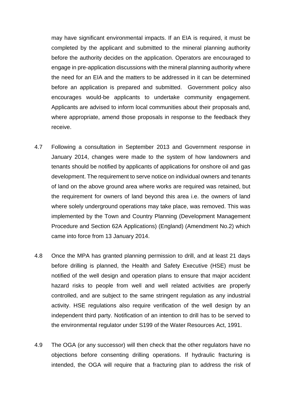may have significant environmental impacts. If an EIA is required, it must be completed by the applicant and submitted to the mineral planning authority before the authority decides on the application. Operators are encouraged to engage in pre-application discussions with the mineral planning authority where the need for an EIA and the matters to be addressed in it can be determined before an application is prepared and submitted. Government policy also encourages would-be applicants to undertake community engagement. Applicants are advised to inform local communities about their proposals and, where appropriate, amend those proposals in response to the feedback they receive.

- 4.7 Following a consultation in September 2013 and Government response in January 2014, changes were made to the system of how landowners and tenants should be notified by applicants of applications for onshore oil and gas development. The requirement to serve notice on individual owners and tenants of land on the above ground area where works are required was retained, but the requirement for owners of land beyond this area i.e. the owners of land where solely underground operations may take place, was removed. This was implemented by the Town and Country Planning (Development Management Procedure and Section 62A Applications) (England) (Amendment No.2) which came into force from 13 January 2014.
- 4.8 Once the MPA has granted planning permission to drill, and at least 21 days before drilling is planned, the Health and Safety Executive (HSE) must be notified of the well design and operation plans to ensure that major accident hazard risks to people from well and well related activities are properly controlled, and are subject to the same stringent regulation as any industrial activity. HSE regulations also require verification of the well design by an independent third party. Notification of an intention to drill has to be served to the environmental regulator under S199 of the Water Resources Act, 1991.
- 4.9 The OGA (or any successor) will then check that the other regulators have no objections before consenting drilling operations. If hydraulic fracturing is intended, the OGA will require that a fracturing plan to address the risk of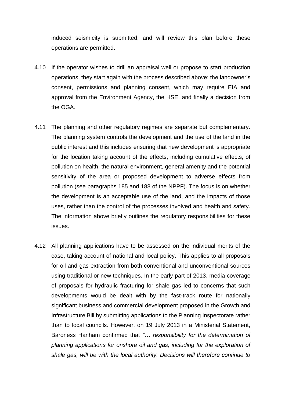induced seismicity is submitted, and will review this plan before these operations are permitted.

- 4.10 If the operator wishes to drill an appraisal well or propose to start production operations, they start again with the process described above; the landowner's consent, permissions and planning consent, which may require EIA and approval from the Environment Agency, the HSE, and finally a decision from the OGA.
- 4.11 The planning and other regulatory regimes are separate but complementary. The planning system controls the development and the use of the land in the public interest and this includes ensuring that new development is appropriate for the location taking account of the effects, including cumulative effects, of pollution on health, the natural environment, general amenity and the potential sensitivity of the area or proposed development to adverse effects from pollution (see paragraphs 185 and 188 of the NPPF). The focus is on whether the development is an acceptable use of the land, and the impacts of those uses, rather than the control of the processes involved and health and safety. The information above briefly outlines the regulatory responsibilities for these issues.
- 4.12 All planning applications have to be assessed on the individual merits of the case, taking account of national and local policy. This applies to all proposals for oil and gas extraction from both conventional and unconventional sources using traditional or new techniques. In the early part of 2013, media coverage of proposals for hydraulic fracturing for shale gas led to concerns that such developments would be dealt with by the fast-track route for nationally significant business and commercial development proposed in the Growth and Infrastructure Bill by submitting applications to the Planning Inspectorate rather than to local councils. However, on 19 July 2013 in a Ministerial Statement, Baroness Hanham confirmed that *"… responsibility for the determination of planning applications for onshore oil and gas, including for the exploration of shale gas, will be with the local authority. Decisions will therefore continue to*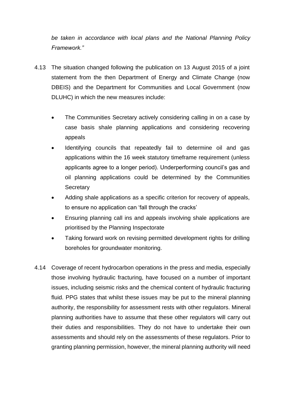*be taken in accordance with local plans and the National Planning Policy Framework."*

- 4.13 The situation changed following the publication on 13 August 2015 of a joint statement from the then Department of Energy and Climate Change (now DBEIS) and the Department for Communities and Local Government (now DLUHC) in which the new measures include:
	- The Communities Secretary actively considering calling in on a case by case basis shale planning applications and considering recovering appeals
	- Identifying councils that repeatedly fail to determine oil and gas applications within the 16 week statutory timeframe requirement (unless applicants agree to a longer period). Underperforming council's gas and oil planning applications could be determined by the Communities **Secretary**
	- Adding shale applications as a specific criterion for recovery of appeals, to ensure no application can 'fall through the cracks'
	- Ensuring planning call ins and appeals involving shale applications are prioritised by the Planning Inspectorate
	- Taking forward work on revising permitted development rights for drilling boreholes for groundwater monitoring.
- 4.14 Coverage of recent hydrocarbon operations in the press and media, especially those involving hydraulic fracturing, have focused on a number of important issues, including seismic risks and the chemical content of hydraulic fracturing fluid. PPG states that whilst these issues may be put to the mineral planning authority, the responsibility for assessment rests with other regulators. Mineral planning authorities have to assume that these other regulators will carry out their duties and responsibilities. They do not have to undertake their own assessments and should rely on the assessments of these regulators. Prior to granting planning permission, however, the mineral planning authority will need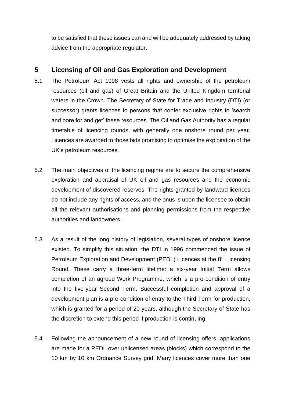to be satisfied that these issues can and will be adequately addressed by taking advice from the appropriate regulator.

## **5 Licensing of Oil and Gas Exploration and Development**

- 5.1 The Petroleum Act 1998 vests all rights and ownership of the petroleum resources (oil and gas) of Great Britain and the United Kingdom territorial waters in the Crown. The Secretary of State for Trade and Industry (DTI) (or successor) grants licences to persons that confer exclusive rights to 'search and bore for and get' these resources. The Oil and Gas Authority has a regular timetable of licencing rounds, with generally one onshore round per year. Licences are awarded to those bids promising to optimise the exploitation of the UK's petroleum resources.
- 5.2 The main objectives of the licencing regime are to secure the comprehensive exploration and appraisal of UK oil and gas resources and the economic development of discovered reserves. The rights granted by landward licences do not include any rights of access, and the onus is upon the licensee to obtain all the relevant authorisations and planning permissions from the respective authorities and landowners.
- 5.3 As a result of the long history of legislation, several types of onshore licence existed. To simplify this situation, the DTI in 1996 commenced the issue of Petroleum Exploration and Development (PEDL) Licences at the 8<sup>th</sup> Licensing Round. These carry a three-term lifetime: a six-year Initial Term allows completion of an agreed Work Programme, which is a pre-condition of entry into the five-year Second Term. Successful completion and approval of a development plan is a pre-condition of entry to the Third Term for production, which is granted for a period of 20 years, although the Secretary of State has the discretion to extend this period if production is continuing.
- 5.4 Following the announcement of a new round of licensing offers, applications are made for a PEDL over unlicensed areas (blocks) which correspond to the 10 km by 10 km Ordnance Survey grid. Many licences cover more than one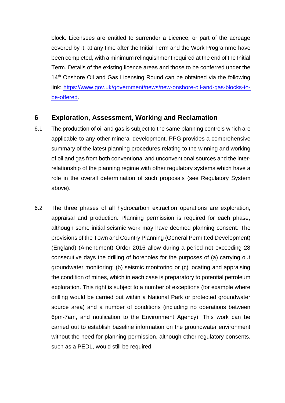block. Licensees are entitled to surrender a Licence, or part of the acreage covered by it, at any time after the Initial Term and the Work Programme have been completed, with a minimum relinquishment required at the end of the Initial Term. Details of the existing licence areas and those to be conferred under the 14<sup>th</sup> Onshore Oil and Gas Licensing Round can be obtained via the following link: [https://www.gov.uk/government/news/new-onshore-oil-and-gas-blocks-to](https://www.gov.uk/government/news/new-onshore-oil-and-gas-blocks-to-be-offered)[be-offered.](https://www.gov.uk/government/news/new-onshore-oil-and-gas-blocks-to-be-offered)

## **6 Exploration, Assessment, Working and Reclamation**

- 6.1 The production of oil and gas is subject to the same planning controls which are applicable to any other mineral development. PPG provides a comprehensive summary of the latest planning procedures relating to the winning and working of oil and gas from both conventional and unconventional sources and the interrelationship of the planning regime with other regulatory systems which have a role in the overall determination of such proposals (see Regulatory System above).
- 6.2 The three phases of all hydrocarbon extraction operations are exploration, appraisal and production. Planning permission is required for each phase, although some initial seismic work may have deemed planning consent. The provisions of the Town and Country Planning (General Permitted Development) (England) (Amendment) Order 2016 allow during a period not exceeding 28 consecutive days the drilling of boreholes for the purposes of (a) carrying out groundwater monitoring; (b) seismic monitoring or (c) locating and appraising the condition of mines, which in each case is preparatory to potential petroleum exploration. This right is subject to a number of exceptions (for example where drilling would be carried out within a National Park or protected groundwater source area) and a number of conditions (including no operations between 6pm-7am, and notification to the Environment Agency). This work can be carried out to establish baseline information on the groundwater environment without the need for planning permission, although other regulatory consents, such as a PEDL, would still be required.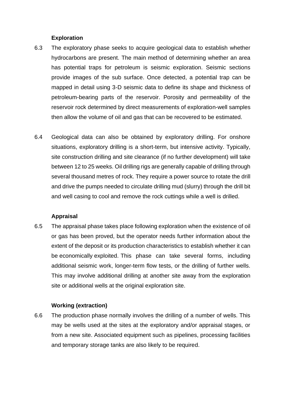#### **Exploration**

- 6.3 The exploratory phase seeks to acquire geological data to establish whether hydrocarbons are present. The main method of determining whether an area has potential traps for petroleum is seismic exploration. Seismic sections provide images of the sub surface. Once detected, a potential trap can be mapped in detail using 3-D seismic data to define its shape and thickness of petroleum-bearing parts of the reservoir. Porosity and permeability of the reservoir rock determined by direct measurements of exploration-well samples then allow the volume of oil and gas that can be recovered to be estimated.
- 6.4 Geological data can also be obtained by exploratory drilling. For onshore situations, exploratory drilling is a short-term, but intensive activity. Typically, site construction drilling and site clearance (if no further development) will take between 12 to 25 weeks. Oil drilling rigs are generally capable of drilling through several thousand metres of rock. They require a power source to rotate the drill and drive the pumps needed to circulate drilling mud (slurry) through the drill bit and well casing to cool and remove the rock cuttings while a well is drilled.

### **Appraisal**

6.5 The appraisal phase takes place following exploration when the existence of oil or gas has been proved, but the operator needs further information about the extent of the deposit or its production characteristics to establish whether it can be economically exploited. This phase can take several forms, including additional seismic work, longer-term flow tests, or the drilling of further wells. This may involve additional drilling at another site away from the exploration site or additional wells at the original exploration site.

#### **Working (extraction)**

6.6 The production phase normally involves the drilling of a number of wells. This may be wells used at the sites at the exploratory and/or appraisal stages, or from a new site. Associated equipment such as pipelines, processing facilities and temporary storage tanks are also likely to be required.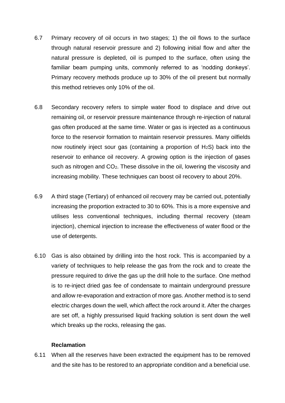- 6.7 Primary recovery of oil occurs in two stages; 1) the oil flows to the surface through natural reservoir pressure and 2) following initial flow and after the natural pressure is depleted, oil is pumped to the surface, often using the familiar beam pumping units, commonly referred to as 'nodding donkeys'. Primary recovery methods produce up to 30% of the oil present but normally this method retrieves only 10% of the oil.
- 6.8 Secondary recovery refers to simple water flood to displace and drive out remaining oil, or reservoir pressure maintenance through re-injection of natural gas often produced at the same time. Water or gas is injected as a continuous force to the reservoir formation to maintain reservoir pressures. Many oilfields now routinely inject sour gas (containing a proportion of  $H_2S$ ) back into the reservoir to enhance oil recovery. A growing option is the injection of gases such as nitrogen and CO2. These dissolve in the oil, lowering the viscosity and increasing mobility. These techniques can boost oil recovery to about 20%.
- 6.9 A third stage (Tertiary) of enhanced oil recovery may be carried out, potentially increasing the proportion extracted to 30 to 60%. This is a more expensive and utilises less conventional techniques, including thermal recovery (steam injection), chemical injection to increase the effectiveness of water flood or the use of detergents.
- 6.10 Gas is also obtained by drilling into the host rock. This is accompanied by a variety of techniques to help release the gas from the rock and to create the pressure required to drive the gas up the drill hole to the surface. One method is to re-inject dried gas fee of condensate to maintain underground pressure and allow re-evaporation and extraction of more gas. Another method is to send electric charges down the well, which affect the rock around it. After the charges are set off, a highly pressurised liquid fracking solution is sent down the well which breaks up the rocks, releasing the gas.

#### **Reclamation**

6.11 When all the reserves have been extracted the equipment has to be removed and the site has to be restored to an appropriate condition and a beneficial use.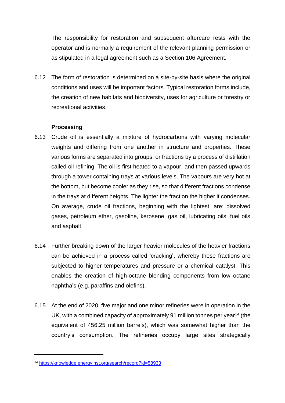The responsibility for restoration and subsequent aftercare rests with the operator and is normally a requirement of the relevant planning permission or as stipulated in a legal agreement such as a Section 106 Agreement.

6.12 The form of restoration is determined on a site-by-site basis where the original conditions and uses will be important factors. Typical restoration forms include, the creation of new habitats and biodiversity, uses for agriculture or forestry or recreational activities.

## **Processing**

- 6.13 Crude oil is essentially a mixture of hydrocarbons with varying molecular weights and differing from one another in structure and properties. These various forms are separated into groups, or fractions by a process of distillation called oil refining. The oil is first heated to a vapour, and then passed upwards through a tower containing trays at various levels. The vapours are very hot at the bottom, but become cooler as they rise, so that different fractions condense in the trays at different heights. The lighter the fraction the higher it condenses. On average, crude oil fractions, beginning with the lightest, are: dissolved gases, petroleum ether, gasoline, kerosene, gas oil, lubricating oils, fuel oils and asphalt.
- 6.14 Further breaking down of the larger heavier molecules of the heavier fractions can be achieved in a process called 'cracking', whereby these fractions are subjected to higher temperatures and pressure or a chemical catalyst. This enables the creation of high-octane blending components from low octane naphtha's (e.g. paraffins and olefins).
- 6.15 At the end of 2020, five major and one minor refineries were in operation in the UK, with a combined capacity of approximately 91 million tonnes per year<sup>14</sup> (the equivalent of 456.25 million barrels), which was somewhat higher than the country's consumption. The refineries occupy large sites strategically

<sup>14</sup> <https://knowledge.energyinst.org/search/record?id=58933>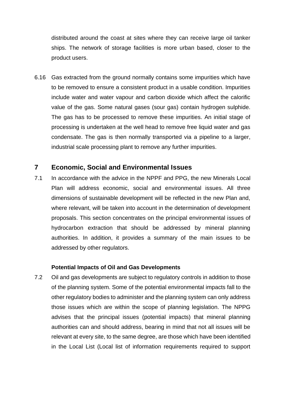distributed around the coast at sites where they can receive large oil tanker ships. The network of storage facilities is more urban based, closer to the product users.

6.16 Gas extracted from the ground normally contains some impurities which have to be removed to ensure a consistent product in a usable condition. Impurities include water and water vapour and carbon dioxide which affect the calorific value of the gas. Some natural gases (sour gas) contain hydrogen sulphide. The gas has to be processed to remove these impurities. An initial stage of processing is undertaken at the well head to remove free liquid water and gas condensate. The gas is then normally transported via a pipeline to a larger, industrial scale processing plant to remove any further impurities.

## **7 Economic, Social and Environmental Issues**

7.1 In accordance with the advice in the NPPF and PPG, the new Minerals Local Plan will address economic, social and environmental issues. All three dimensions of sustainable development will be reflected in the new Plan and, where relevant, will be taken into account in the determination of development proposals. This section concentrates on the principal environmental issues of hydrocarbon extraction that should be addressed by mineral planning authorities. In addition, it provides a summary of the main issues to be addressed by other regulators.

#### **Potential Impacts of Oil and Gas Developments**

7.2 Oil and gas developments are subject to regulatory controls in addition to those of the planning system. Some of the potential environmental impacts fall to the other regulatory bodies to administer and the planning system can only address those issues which are within the scope of planning legislation. The NPPG advises that the principal issues (potential impacts) that mineral planning authorities can and should address, bearing in mind that not all issues will be relevant at every site, to the same degree, are those which have been identified in the Local List (Local list of information requirements required to support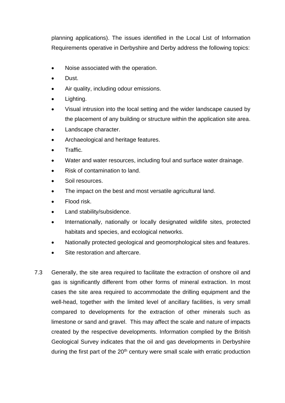planning applications). The issues identified in the Local List of Information Requirements operative in Derbyshire and Derby address the following topics:

- Noise associated with the operation.
- Dust.
- Air quality, including odour emissions.
- Lighting.
- Visual intrusion into the local setting and the wider landscape caused by the placement of any building or structure within the application site area.
- Landscape character.
- Archaeological and heritage features.
- Traffic.
- Water and water resources, including foul and surface water drainage.
- Risk of contamination to land.
- Soil resources.
- The impact on the best and most versatile agricultural land.
- Flood risk.
- Land stability/subsidence.
- Internationally, nationally or locally designated wildlife sites, protected habitats and species, and ecological networks.
- Nationally protected geological and geomorphological sites and features.
- Site restoration and aftercare.
- 7.3 Generally, the site area required to facilitate the extraction of onshore oil and gas is significantly different from other forms of mineral extraction. In most cases the site area required to accommodate the drilling equipment and the well-head, together with the limited level of ancillary facilities, is very small compared to developments for the extraction of other minerals such as limestone or sand and gravel. This may affect the scale and nature of impacts created by the respective developments. Information complied by the British Geological Survey indicates that the oil and gas developments in Derbyshire during the first part of the  $20<sup>th</sup>$  century were small scale with erratic production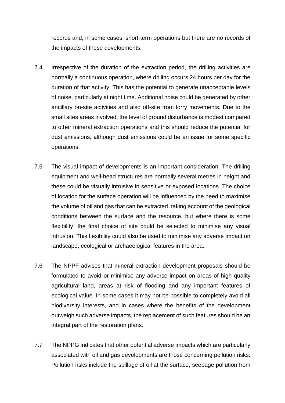records and, in some cases, short-term operations but there are no records of the impacts of these developments.

- 7.4 Irrespective of the duration of the extraction period, the drilling activities are normally a continuous operation, where drilling occurs 24 hours per day for the duration of that activity. This has the potential to generate unacceptable levels of noise, particularly at night time. Additional noise could be generated by other ancillary on-site activities and also off-site from lorry movements. Due to the small sites areas involved, the level of ground disturbance is modest compared to other mineral extraction operations and this should reduce the potential for dust emissions, although dust emissions could be an issue for some specific operations.
- 7.5 The visual impact of developments is an important consideration. The drilling equipment and well-head structures are normally several metres in height and these could be visually intrusive in sensitive or exposed locations. The choice of location for the surface operation will be influenced by the need to maximise the volume of oil and gas that can be extracted, taking account of the geological conditions between the surface and the resource, but where there is some flexibility, the final choice of site could be selected to minimise any visual intrusion. This flexibility could also be used to minimise any adverse impact on landscape, ecological or archaeological features in the area.
- 7.6 The NPPF advises that mineral extraction development proposals should be formulated to avoid or minimise any adverse impact on areas of high quality agricultural land, areas at risk of flooding and any important features of ecological value. In some cases it may not be possible to completely avoid all biodiversity interests, and in cases where the benefits of the development outweigh such adverse impacts, the replacement of such features should be an integral part of the restoration plans.
- 7.7 The NPPG indicates that other potential adverse impacts which are particularly associated with oil and gas developments are those concerning pollution risks. Pollution risks include the spillage of oil at the surface, seepage pollution from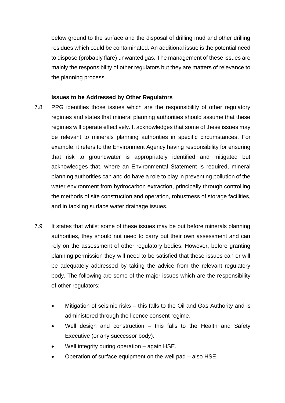below ground to the surface and the disposal of drilling mud and other drilling residues which could be contaminated. An additional issue is the potential need to dispose (probably flare) unwanted gas. The management of these issues are mainly the responsibility of other regulators but they are matters of relevance to the planning process.

#### **Issues to be Addressed by Other Regulators**

- 7.8 PPG identifies those issues which are the responsibility of other regulatory regimes and states that mineral planning authorities should assume that these regimes will operate effectively. It acknowledges that some of these issues may be relevant to minerals planning authorities in specific circumstances. For example, it refers to the Environment Agency having responsibility for ensuring that risk to groundwater is appropriately identified and mitigated but acknowledges that, where an Environmental Statement is required, mineral planning authorities can and do have a role to play in preventing pollution of the water environment from hydrocarbon extraction, principally through controlling the methods of site construction and operation, robustness of storage facilities, and in tackling surface water drainage issues.
- 7.9 It states that whilst some of these issues may be put before minerals planning authorities, they should not need to carry out their own assessment and can rely on the assessment of other regulatory bodies. However, before granting planning permission they will need to be satisfied that these issues can or will be adequately addressed by taking the advice from the relevant regulatory body. The following are some of the major issues which are the responsibility of other regulators:
	- Mitigation of seismic risks this falls to the Oil and Gas Authority and is administered through the licence consent regime.
	- Well design and construction  $-$  this falls to the Health and Safety Executive (or any successor body).
	- Well integrity during operation again HSE.
	- Operation of surface equipment on the well pad also HSE.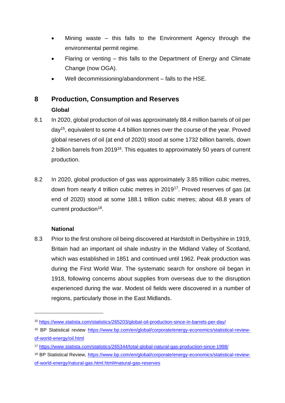- Mining waste  $-$  this falls to the Environment Agency through the environmental permit regime.
- Flaring or venting this falls to the Department of Energy and Climate Change (now OGA).
- Well decommissioning/abandonment falls to the HSE.

## **8 Production, Consumption and Reserves**

## **Global**

- 8.1 In 2020, global production of oil was approximately 88.4 million barrels of oil per day<sup>15</sup>, equivalent to some 4.4 billion tonnes over the course of the year. Proved global reserves of oil (at end of 2020) stood at some 1732 billion barrels, down 2 billion barrels from 2019<sup>16</sup>. This equates to approximately 50 years of current production.
- 8.2 In 2020, global production of gas was approximately 3.85 trillion cubic metres, down from nearly 4 trillion cubic metres in 2019<sup>17</sup>. Proved reserves of gas (at end of 2020) stood at some 188.1 trillion cubic metres; about 48.8 years of current production<sup>18</sup>.

## **National**

8.3 Prior to the first onshore oil being discovered at Hardstoft in Derbyshire in 1919, Britain had an important oil shale industry in the Midland Valley of Scotland, which was established in 1851 and continued until 1962. Peak production was during the First World War. The systematic search for onshore oil began in 1918, following concerns about supplies from overseas due to the disruption experienced during the war. Modest oil fields were discovered in a number of regions, particularly those in the East Midlands.

<sup>15</sup> <https://www.statista.com/statistics/265203/global-oil-production-since-in-barrels-per-day/>

<sup>16</sup> BP Statistical review [https://www.bp.com/en/global/corporate/energy-economics/statistical-review](https://www.bp.com/en/global/corporate/energy-economics/statistical-review-of-world-energy/oil.html)[of-world-energy/oil.html](https://www.bp.com/en/global/corporate/energy-economics/statistical-review-of-world-energy/oil.html)

<sup>17</sup> <https://www.statista.com/statistics/265344/total-global-natural-gas-production-since-1998/>

<sup>18</sup> BP Statistical Review, [https://www.bp.com/en/global/corporate/energy-economics/statistical-review](https://www.bp.com/en/global/corporate/energy-economics/statistical-review-of-world-energy/natural-gas.html.html#natural-gas-reserves)[of-world-energy/natural-gas.html.html#natural-gas-reserves](https://www.bp.com/en/global/corporate/energy-economics/statistical-review-of-world-energy/natural-gas.html.html#natural-gas-reserves)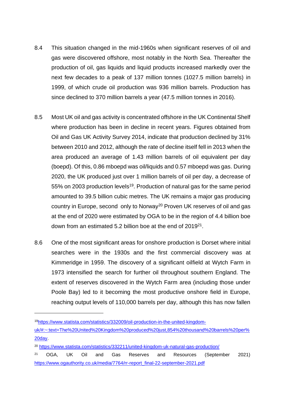- 8.4 This situation changed in the mid-1960s when significant reserves of oil and gas were discovered offshore, most notably in the North Sea. Thereafter the production of oil, gas liquids and liquid products increased markedly over the next few decades to a peak of 137 million tonnes (1027.5 million barrels) in 1999, of which crude oil production was 936 million barrels. Production has since declined to 370 million barrels a year (47.5 million tonnes in 2016).
- 8.5 Most UK oil and gas activity is concentrated offshore in the UK Continental Shelf where production has been in decline in recent years. Figures obtained from Oil and Gas UK Activity Survey 2014, indicate that production declined by 31% between 2010 and 2012, although the rate of decline itself fell in 2013 when the area produced an average of 1.43 million barrels of oil equivalent per day (boepd). Of this, 0.86 mboepd was oil/liquids and 0.57 mboepd was gas. During 2020, the UK produced just over 1 million barrels of oil per day, a decrease of 55% on 2003 production levels<sup>19</sup>. Production of natural gas for the same period amounted to 39.5 billion cubic metres. The UK remains a major gas producing country in Europe, second only to Norway<sup>20</sup> Proven UK reserves of oil and gas at the end of 2020 were estimated by OGA to be in the region of 4.4 billion boe down from an estimated 5.2 billion boe at the end of 2019<sup>21</sup>.
- 8.6 One of the most significant areas for onshore production is Dorset where initial searches were in the 1930s and the first commercial discovery was at Kimmeridge in 1959. The discovery of a significant oilfield at Wytch Farm in 1973 intensified the search for further oil throughout southern England. The extent of reserves discovered in the Wytch Farm area (including those under Poole Bay) led to it becoming the most productive onshore field in Europe, reaching output levels of 110,000 barrels per day, although this has now fallen

<sup>19</sup>[https://www.statista.com/statistics/332009/oil-production-in-the-united-kingdom-](https://www.statista.com/statistics/332009/oil-production-in-the-united-kingdom-uk/#:~:text=The%20United%20Kingdom%20produced%20just,854%20thousand%20barrels%20per%20day)

[uk/#:~:text=The%20United%20Kingdom%20produced%20just,854%20thousand%20barrels%20per%](https://www.statista.com/statistics/332009/oil-production-in-the-united-kingdom-uk/#:~:text=The%20United%20Kingdom%20produced%20just,854%20thousand%20barrels%20per%20day) [20day.](https://www.statista.com/statistics/332009/oil-production-in-the-united-kingdom-uk/#:~:text=The%20United%20Kingdom%20produced%20just,854%20thousand%20barrels%20per%20day)

<sup>20</sup> <https://www.statista.com/statistics/332211/united-kingdom-uk-natural-gas-production/>

<sup>21</sup> OGA, UK Oil and Gas Reserves and Resources (September 2021) [https://www.ogauthority.co.uk/media/7764/rr-report\\_final-22-september-2021.pdf](https://www.ogauthority.co.uk/media/7764/rr-report_final-22-september-2021.pdf)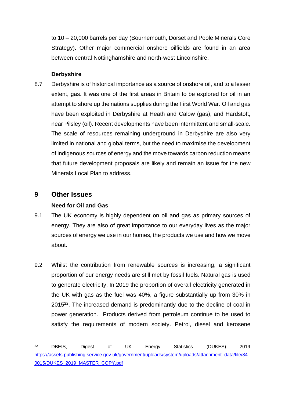to 10 – 20,000 barrels per day (Bournemouth, Dorset and Poole Minerals Core Strategy). Other major commercial onshore oilfields are found in an area between central Nottinghamshire and north-west Lincolnshire.

### **Derbyshire**

8.7 Derbyshire is of historical importance as a source of onshore oil, and to a lesser extent, gas. It was one of the first areas in Britain to be explored for oil in an attempt to shore up the nations supplies during the First World War. Oil and gas have been exploited in Derbyshire at Heath and Calow (gas), and Hardstoft, near Pilsley (oil). Recent developments have been intermittent and small-scale. The scale of resources remaining underground in Derbyshire are also very limited in national and global terms, but the need to maximise the development of indigenous sources of energy and the move towards carbon reduction means that future development proposals are likely and remain an issue for the new Minerals Local Plan to address.

## **9 Other Issues**

## **Need for Oil and Gas**

- 9.1 The UK economy is highly dependent on oil and gas as primary sources of energy. They are also of great importance to our everyday lives as the major sources of energy we use in our homes, the products we use and how we move about.
- 9.2 Whilst the contribution from renewable sources is increasing, a significant proportion of our energy needs are still met by fossil fuels. Natural gas is used to generate electricity. In 2019 the proportion of overall electricity generated in the UK with gas as the fuel was 40%, a figure substantially up from 30% in 2015<sup>22</sup>. The increased demand is predominantly due to the decline of coal in power generation. Products derived from petroleum continue to be used to satisfy the requirements of modern society. Petrol, diesel and kerosene

<sup>22</sup> DBEIS, Digest of UK Energy Statistics (DUKES) 2019 [https://assets.publishing.service.gov.uk/government/uploads/system/uploads/attachment\\_data/file/84](https://assets.publishing.service.gov.uk/government/uploads/system/uploads/attachment_data/file/840015/DUKES_2019_MASTER_COPY.pdf) [0015/DUKES\\_2019\\_MASTER\\_COPY.pdf](https://assets.publishing.service.gov.uk/government/uploads/system/uploads/attachment_data/file/840015/DUKES_2019_MASTER_COPY.pdf)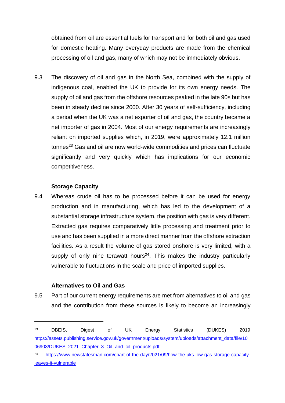obtained from oil are essential fuels for transport and for both oil and gas used for domestic heating. Many everyday products are made from the chemical processing of oil and gas, many of which may not be immediately obvious.

9.3 The discovery of oil and gas in the North Sea, combined with the supply of indigenous coal, enabled the UK to provide for its own energy needs. The supply of oil and gas from the offshore resources peaked in the late 90s but has been in steady decline since 2000. After 30 years of self-sufficiency, including a period when the UK was a net exporter of oil and gas, the country became a net importer of gas in 2004. Most of our energy requirements are increasingly reliant on imported supplies which, in 2019, were approximately 12.1 million tonnes $^{23}$  Gas and oil are now world-wide commodities and prices can fluctuate significantly and very quickly which has implications for our economic competitiveness.

### **Storage Capacity**

9.4 Whereas crude oil has to be processed before it can be used for energy production and in manufacturing, which has led to the development of a substantial storage infrastructure system, the position with gas is very different. Extracted gas requires comparatively little processing and treatment prior to use and has been supplied in a more direct manner from the offshore extraction facilities. As a result the volume of gas stored onshore is very limited, with a supply of only nine terawatt hours<sup>24</sup>. This makes the industry particularly vulnerable to fluctuations in the scale and price of imported supplies.

### **Alternatives to Oil and Gas**

9.5 Part of our current energy requirements are met from alternatives to oil and gas and the contribution from these sources is likely to become an increasingly

<sup>23</sup> DBEIS, Digest of UK Energy Statistics (DUKES) 2019 [https://assets.publishing.service.gov.uk/government/uploads/system/uploads/attachment\\_data/file/10](https://assets.publishing.service.gov.uk/government/uploads/system/uploads/attachment_data/file/1006903/DUKES_2021_Chapter_3_Oil_and_oil_products.pdf) [06903/DUKES\\_2021\\_Chapter\\_3\\_Oil\\_and\\_oil\\_products.pdf](https://assets.publishing.service.gov.uk/government/uploads/system/uploads/attachment_data/file/1006903/DUKES_2021_Chapter_3_Oil_and_oil_products.pdf)

<sup>24</sup> [https://www.newstatesman.com/chart-of-the-day/2021/09/how-the-uks-low-gas-storage-capacity](https://www.newstatesman.com/chart-of-the-day/2021/09/how-the-uks-low-gas-storage-capacity-leaves-it-vulnerable)[leaves-it-vulnerable](https://www.newstatesman.com/chart-of-the-day/2021/09/how-the-uks-low-gas-storage-capacity-leaves-it-vulnerable)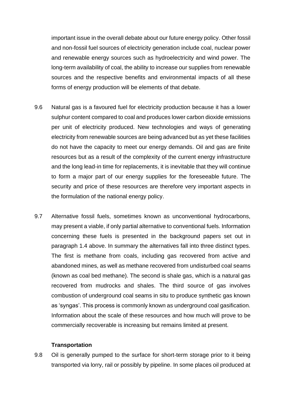important issue in the overall debate about our future energy policy. Other fossil and non-fossil fuel sources of electricity generation include coal, nuclear power and renewable energy sources such as hydroelectricity and wind power. The long-term availability of coal, the ability to increase our supplies from renewable sources and the respective benefits and environmental impacts of all these forms of energy production will be elements of that debate.

- 9.6 Natural gas is a favoured fuel for electricity production because it has a lower sulphur content compared to coal and produces lower carbon dioxide emissions per unit of electricity produced. New technologies and ways of generating electricity from renewable sources are being advanced but as yet these facilities do not have the capacity to meet our energy demands. Oil and gas are finite resources but as a result of the complexity of the current energy infrastructure and the long lead-in time for replacements, it is inevitable that they will continue to form a major part of our energy supplies for the foreseeable future. The security and price of these resources are therefore very important aspects in the formulation of the national energy policy.
- 9.7 Alternative fossil fuels, sometimes known as unconventional hydrocarbons, may present a viable, if only partial alternative to conventional fuels. Information concerning these fuels is presented in the background papers set out in paragraph 1.4 above. In summary the alternatives fall into three distinct types. The first is methane from coals, including gas recovered from active and abandoned mines, as well as methane recovered from undisturbed coal seams (known as coal bed methane). The second is shale gas, which is a natural gas recovered from mudrocks and shales. The third source of gas involves combustion of underground coal seams in situ to produce synthetic gas known as 'syngas'. This process is commonly known as underground coal gasification. Information about the scale of these resources and how much will prove to be commercially recoverable is increasing but remains limited at present.

#### **Transportation**

9.8 Oil is generally pumped to the surface for short-term storage prior to it being transported via lorry, rail or possibly by pipeline. In some places oil produced at